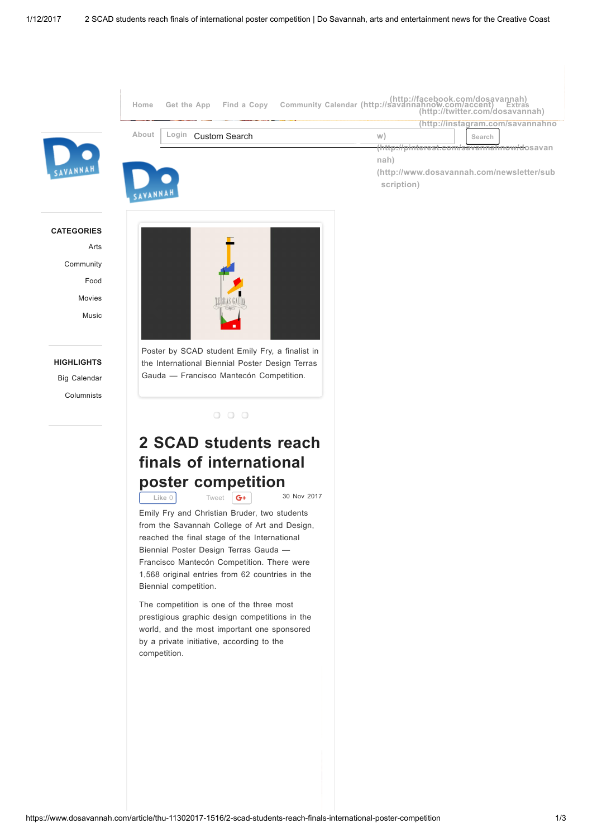